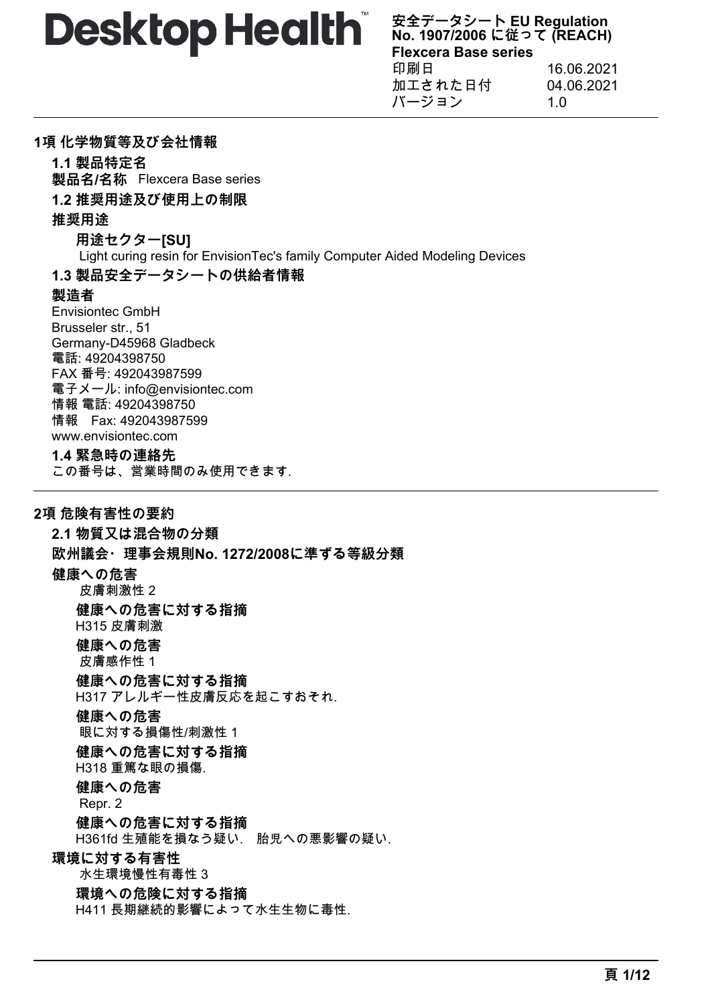**安全データシート EU Regulation No. 1907/2006 に従って (REACH) Flexcera Base series** 印刷日 16.06.2021 加工された日付 04.06.2021 バージョン 1.0

## **1項 化学物質等及び会社情報**

**1.1 製品特定名 製品名/名称** Flexcera Base series

## **1.2 推奨用途及び使用上の制限**

## **推奨用途**

**用途セクター[SU]** Light curing resin for EnvisionTec's family Computer Aided Modeling Devices **1.3 製品安全データシートの供給者情報**

# **製造者**

Envisiontec GmbH Brusseler str., 51 Germany-D45968 Gladbeck 電話: 49204398750 FAX 番号: 492043987599 電子メール: info@envisiontec.com 情報 電話: 49204398750 情報 Fax: 492043987599 www.envisiontec.com

#### **1.4 緊急時の連絡先**

この番号は、営業時間のみ使用できます.

# **2項 危険有害性の要約**

**2.1 物質又は混合物の分類 欧州議会・理事会規則No. 1272/2008に準ずる等級分類 健康への危害** 皮膚刺激性 2 **健康への危害に対する指摘** H315 皮膚刺激 **健康への危害** 皮膚感作性 1 **健康への危害に対する指摘** H317 アレルギー性皮膚反応を起こすおそれ. **健康への危害** 眼に対する損傷性/刺激性 1 **健康への危害に対する指摘** H318 重篤な眼の損傷. **健康への危害** Repr. 2 **健康への危害に対する指摘** H361fd 生殖能を損なう疑い. 胎児への悪影響の疑い. **環境に対する有害性** 水生環境慢性有毒性 3 **環境への危険に対する指摘**

H411 長期継続的影響によって水生生物に毒性.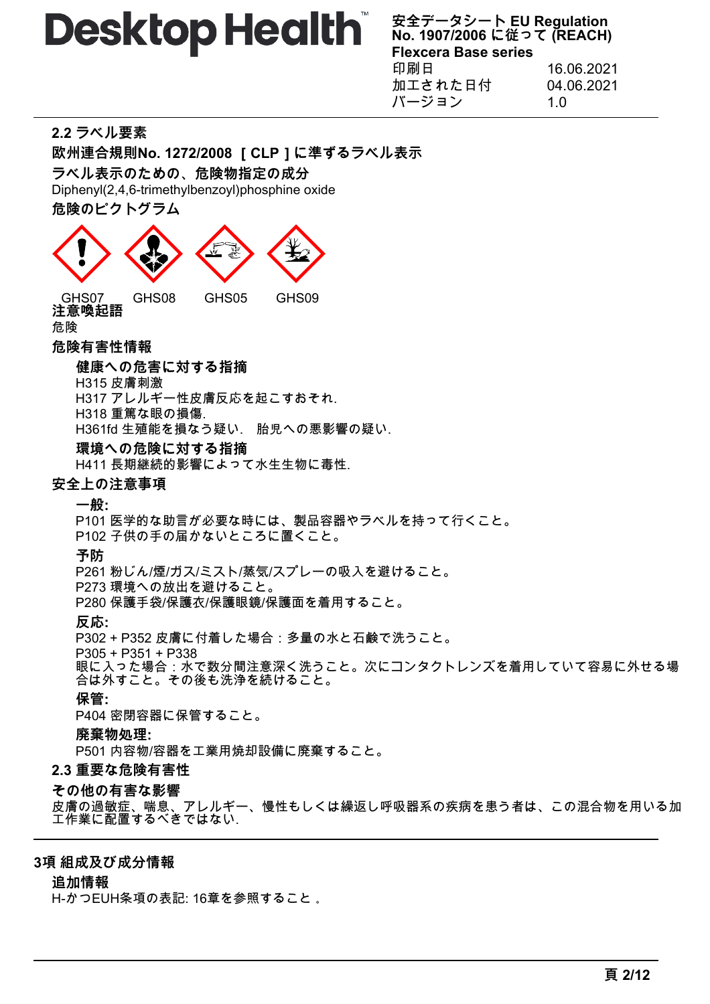**安全データシート EU Regulation No. 1907/2006 に従って (REACH) Flexcera Base series** 印刷日 16.06.2021 加工された日付 04.06.2021 バージョン 1.0

# **2.2 ラベル要素**

**欧州連合規則No. 1272/2008 [CLP]に準ずるラベル表示**

**ラベル表示のための、危険物指定の成分**

Diphenyl(2,4,6-trimethylbenzoyl)phosphine oxide

**危険のピクトグラム**



**注意喚起語** 危険

#### **危険有害性情報**

#### **健康への危害に対する指摘**

H315 皮膚刺激

H317 アレルギー性皮膚反応を起こすおそれ.

H318 重篤な眼の損傷. H361fd 生殖能を損なう疑い. 胎児への悪影響の疑い.

#### **環境への危険に対する指摘**

H411 長期継続的影響によって水生生物に毒性.

#### **安全上の注意事項**

**一般:**

P101 医学的な助言が必要な時には、製品容器やラベルを持って行くこと。

P102 子供の手の届かないところに置くこと。

**予防**

P261 粉じん/煙/ガス/ミスト/蒸気/スプレーの吸入を避けること。

P273 環境への放出を避けること。

P280 保護手袋/保護衣/保護眼鏡/保護面を着用すること。

**反応:**

P302 + P352 皮膚に付着した場合:多量の水と石鹸で洗うこと。

P305 + P351 + P338

眼に入った場合:水で数分間注意深く洗うこと。次にコンタクトレンズを着用していて容易に外せる場 合は外すこと。その後も洗浄を続けること。

# **保管:**

P404 密閉容器に保管すること。

#### **廃棄物処理:**

P501 内容物/容器を工業用焼却設備に廃棄すること。

#### **2.3 重要な危険有害性**

#### **その他の有害な影響**

皮膚の過敏症、喘息、アレルギー、慢性もしくは繰返し呼吸器系の疾病を患う者は、この混合物を用いる加 工作業に配置するべきではない.

#### **3項 組成及び成分情報**

### **追加情報**

H-かつEUH条項の表記: 16章を参照すること 。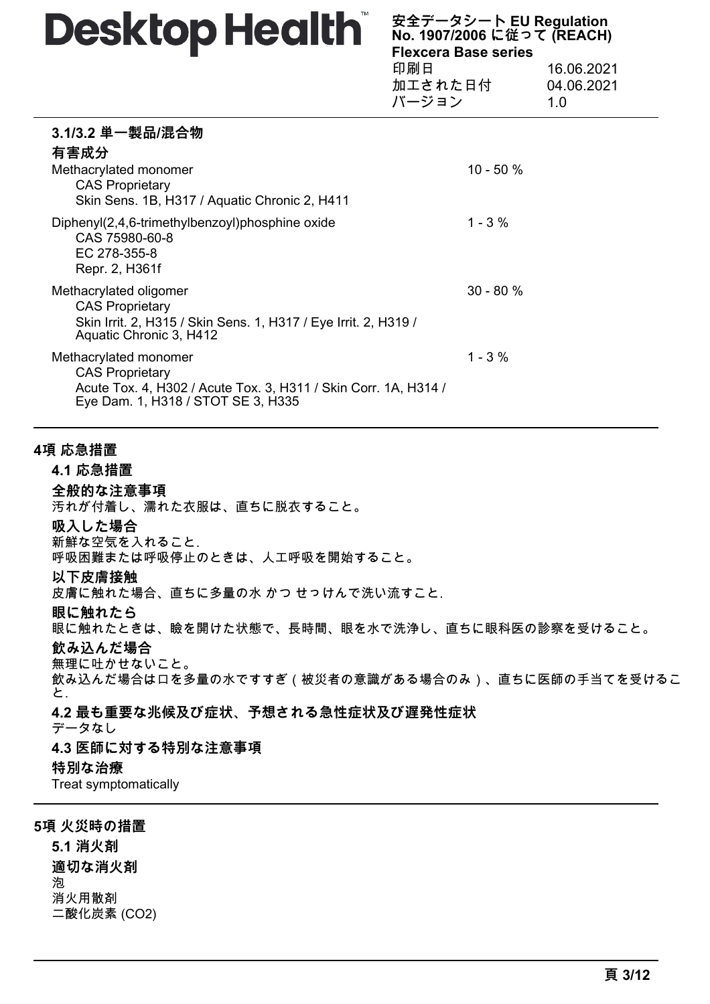**安全データシート EU Regulation No. 1907/2006 に従って (REACH) Flexcera Base series** 印刷日 16.06.2021 加工された日付 04.06.2021

|                                                                                                                                                          | バージョン        | 1.0 |
|----------------------------------------------------------------------------------------------------------------------------------------------------------|--------------|-----|
| 3.1/3.2 単一製品/混合物<br>有害成分                                                                                                                                 | $10 - 50 \%$ |     |
| Methacrylated monomer<br><b>CAS Proprietary</b><br>Skin Sens. 1B, H317 / Aquatic Chronic 2, H411                                                         |              |     |
| Diphenyl(2,4,6-trimethylbenzoyl)phosphine oxide<br>CAS 75980-60-8<br>EC 278-355-8<br>Repr. 2, H361f                                                      | $1 - 3 \%$   |     |
| Methacrylated oligomer<br><b>CAS Proprietary</b><br>Skin Irrit. 2, H315 / Skin Sens. 1, H317 / Eye Irrit. 2, H319 /<br>Aquatic Chronic 3, H412           | $30 - 80 \%$ |     |
| Methacrylated monomer<br><b>CAS Proprietary</b><br>Acute Tox. 4, H302 / Acute Tox. 3, H311 / Skin Corr. 1A, H314 /<br>Eye Dam. 1, H318 / STOT SE 3, H335 | $1 - 3 \%$   |     |

## **4項 応急措置**

#### **4.1 応急措置**

#### **全般的な注意事項**

汚れが付着し、濡れた衣服は、直ちに脱衣すること。

#### **吸入した場合**

新鮮な空気を入れること. 呼吸困難または呼吸停止のときは、人工呼吸を開始すること。

#### **以下皮膚接触**

皮膚に触れた場合、直ちに多量の水 かつ せっけんで洗い流すこと.

#### **眼に触れたら**

眼に触れたときは、瞼を開けた状態で、長時間、眼を水で洗浄し、直ちに眼科医の診察を受けること。

#### **飲み込んだ場合**

無理に吐かせないこと。

飲み込んだ場合は口を多量の水ですすぎ(被災者の意識がある場合のみ)、直ちに医師の手当てを受けるこ と.

#### **4.2 最も重要な兆候及び症状、予想される急性症状及び遅発性症状**

データなし

#### **4.3 医師に対する特別な注意事項**

#### **特別な治療**

Treat symptomatically

#### **5項 火災時の措置**

**5.1 消火剤 適切な消火剤** 泡 消火用散剤 二酸化炭素 (CO2)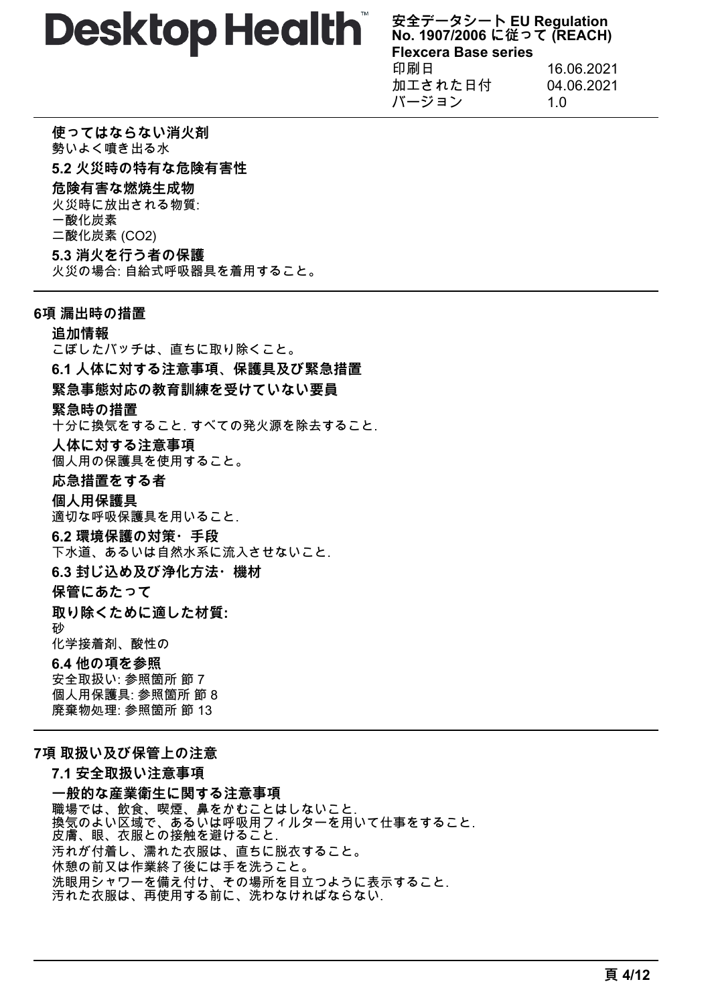**安全データシート EU Regulation No. 1907/2006 に従って (REACH) Flexcera Base series** 印刷日 16.06.2021 加工された日付 04.06.2021 バージョン 1.0

**使ってはならない消火剤** 勢いよく噴き出る水 **5.2 火災時の特有な危険有害性 危険有害な燃焼生成物** 火災時に放出される物質: 一酸化炭素 二酸化炭素 (CO2) **5.3 消火を行う者の保護** 火災の場合: 自給式呼吸器具を着用すること。

## **6項 漏出時の措置**

# **追加情報**

こぼしたバッチは、直ちに取り除くこと。 **6.1 人体に対する注意事項、保護具及び緊急措置 緊急事態対応の教育訓練を受けていない要員 緊急時の措置** 十分に換気をすること. すべての発火源を除去すること. **人体に対する注意事項** 個人用の保護具を使用すること。 **応急措置をする者 個人用保護具** 適切な呼吸保護具を用いること. **6.2 環境保護の対策・手段** 下水道、あるいは自然水系に流入させないこと. **6.3 封じ込め及び浄化方法・機材 保管にあたって 取り除くために適した材質:** 砂 化学接着剤、酸性の **6.4 他の項を参照** 安全取扱い: 参照箇所 節 7 個人用保護具: 参照箇所 節 8 廃棄物処理: 参照箇所 節 13

# **7項 取扱い及び保管上の注意**

**7.1 安全取扱い注意事項 一般的な産業衛生に関する注意事項** 職場では、飲食、喫煙、鼻をかむことはしないこと. 換気のよい区域で、あるいは呼吸用フィルターを用いて仕事をすること. 皮膚、眼、衣服との接触を避けること. 汚れが付着し、濡れた衣服は、直ちに脱衣すること。 休憩の前又は作業終了後には手を洗うこと。 洗眼用シャワーを備え付け、その場所を目立つように表示すること. 汚れた衣服は、再使用する前に、洗わなければならない.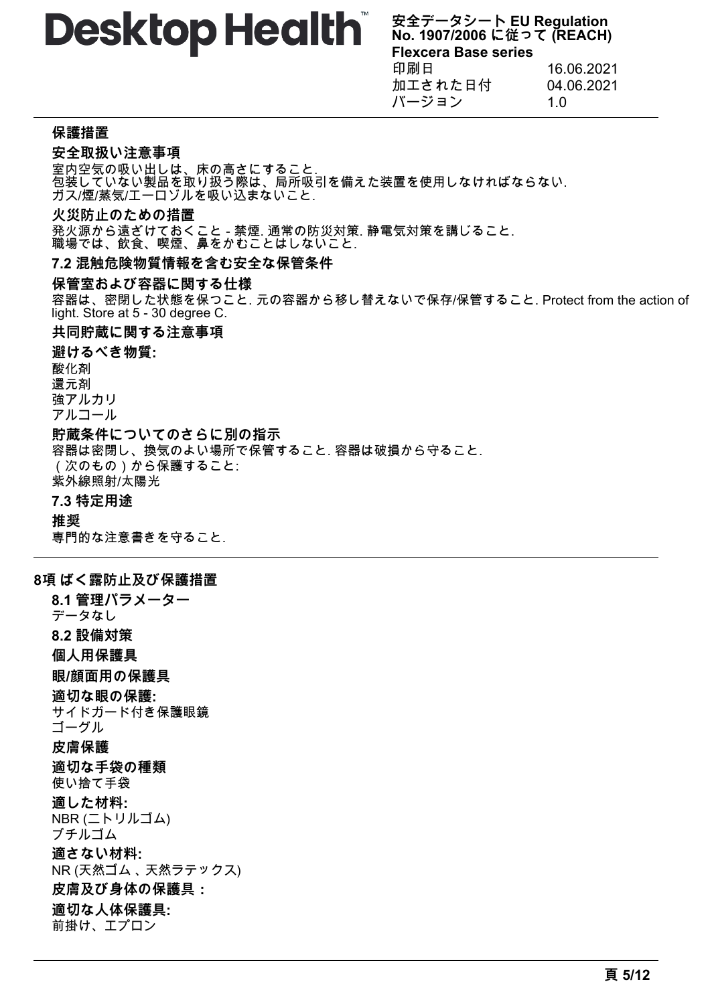**安全データシート EU Regulation No. 1907/2006 に従って (REACH) Flexcera Base series** 印刷日 16.06.2021 加工された日付 04.06.2021 バージョン 1.0

#### **保護措置**

#### **安全取扱い注意事項**

室内空気の吸い出しは、床の高さにすること. 包装していない製品を取り扱う際は、局所吸引を備えた装置を使用しなければならない. ガス/煙/蒸気/エーロゾルを吸い込まないこと.

#### **火災防止のための措置**

発火源から遠ざけておくこと - 禁煙. 通常の防災対策. 静電気対策を講じること. 職場では、飲食、喫煙、鼻をかむことはしないこと.

#### **7.2 混触危険物質情報を含む安全な保管条件**

#### **保管室および容器に関する仕様**

容器は、密閉した状態を保つこと. 元の容器から移し替えないで保存/保管すること. Protect from the action of light. Store at 5 - 30 degree C.

#### **共同貯蔵に関する注意事項**

**避けるべき物質:** 酸化剤 還元剤 強アルカリ アルコール **貯蔵条件についてのさらに別の指示** 容器は密閉し、換気のよい場所で保管すること. 容器は破損から守ること. (次のもの)から保護すること: 紫外線照射/太陽光 **7.3 特定用途 推奨**

専門的な注意書きを守ること.

#### **8項 ばく露防止及び保護措置**

**8.1 管理パラメーター** データなし **8.2 設備対策 個人用保護具 眼/顔面用の保護具 適切な眼の保護:** サイドガード付き保護眼鏡 ゴーグル **皮膚保護 適切な手袋の種類** 使い捨て手袋 **適した材料:** NBR (ニトリルゴム) ブチルゴム **適さない材料:** NR (天然ゴム 、 天然ラテックス) **皮膚及び身体の保護具: 適切な人体保護具:** 前掛け、エプロン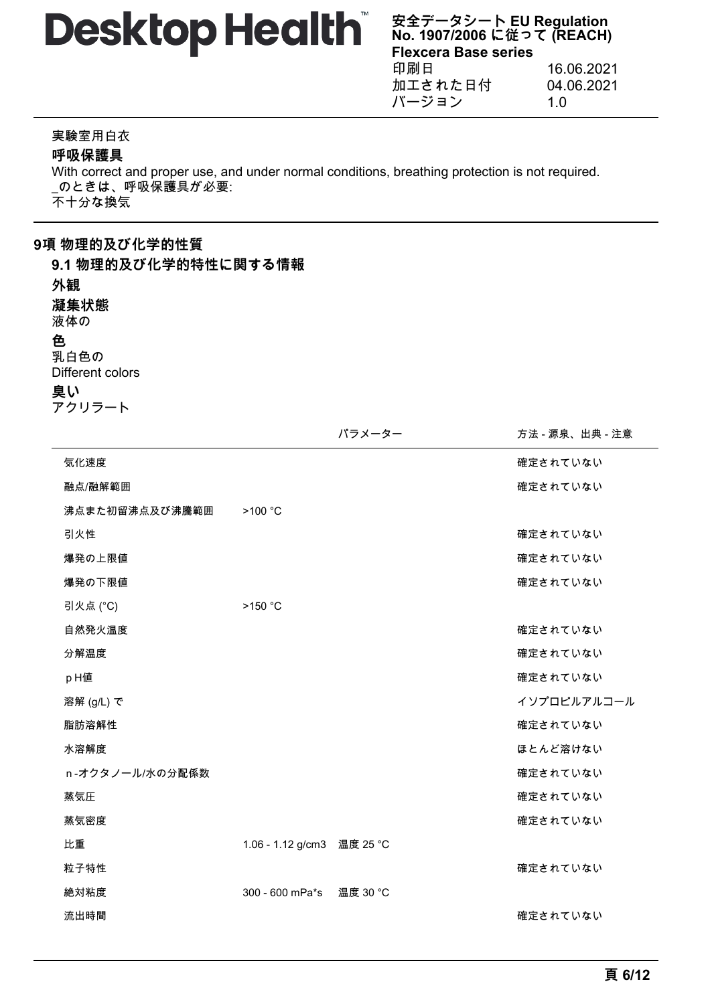**安全データシート EU Regulation No. 1907/2006 に従って (REACH) Flexcera Base series** 印刷日 16.06.2021 加工された日付 04.06.2021 バージョン 1.0

#### 実験室用白衣

**呼吸保護具**

With correct and proper use, and under normal conditions, breathing protection is not required. \_のときは、呼吸保護具が必要: 不十分な換気

# **9項 物理的及び化学的性質**

**9.1 物理的及び化学的特性に関する情報**

#### **外観**

**凝集状態**

液体の

#### **色**

乳白色の Different colors **臭い**

|  |  | アクリラート |  |
|--|--|--------|--|
|  |  |        |  |

|                 |                   | パラメーター   | 方法 - 源泉、出典 - 注意 |
|-----------------|-------------------|----------|-----------------|
| 気化速度            |                   |          | 確定されていない        |
| 融点/融解範囲         |                   |          | 確定されていない        |
| 沸点また初留沸点及び沸騰範囲  | >100 °C           |          |                 |
| 引火性             |                   |          | 確定されていない        |
| 爆発の上限値          |                   |          | 確定されていない        |
| 爆発の下限値          |                   |          | 確定されていない        |
| 引火点 (°C)        | >150 °C           |          |                 |
| 自然発火温度          |                   |          | 確定されていない        |
| 分解温度            |                   |          | 確定されていない        |
| pH值             |                   |          | 確定されていない        |
| 溶解 (g/L) で      |                   |          | イソプロピルアルコール     |
| 脂肪溶解性           |                   |          | 確定されていない        |
| 水溶解度            |                   |          | ほとんど溶けない        |
| n-オクタノール/水の分配係数 |                   |          | 確定されていない        |
| 蒸気圧             |                   |          | 確定されていない        |
| 蒸気密度            |                   |          | 確定されていない        |
| 比重              | 1.06 - 1.12 g/cm3 | 温度 25 °C |                 |
| 粒子特性            |                   |          | 確定されていない        |
| 絶対粘度            | 300 - 600 mPa*s   | 温度 30 °C |                 |
| 流出時間            |                   |          | 確定されていない        |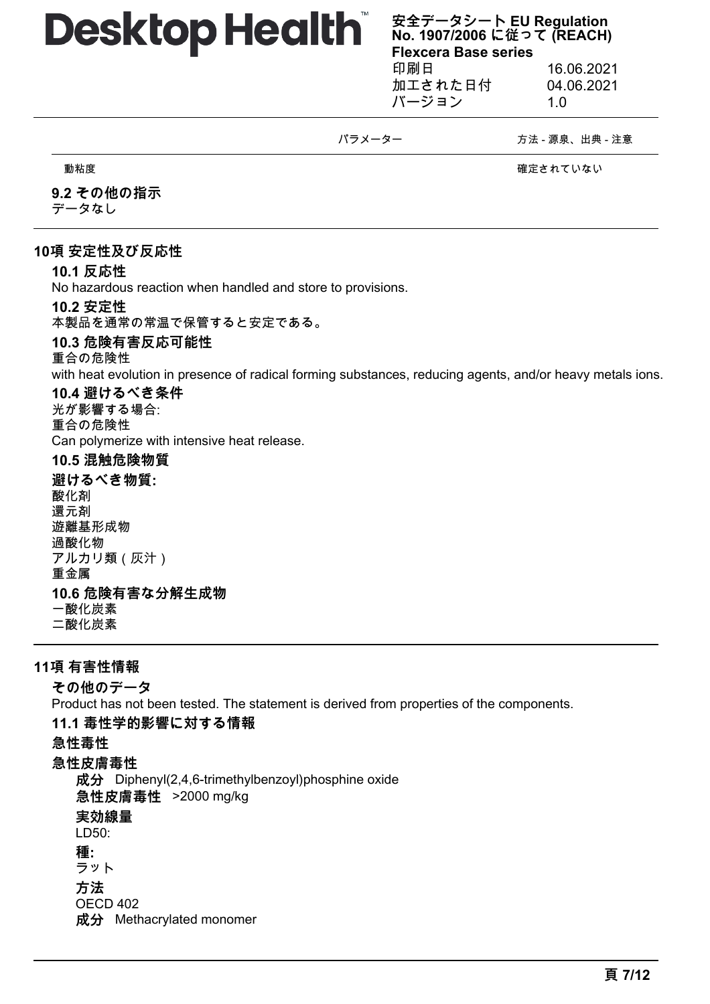**安全データシート EU Regulation No. 1907/2006 に従って (REACH) Flexcera Base series** 印刷日 16.06.2021

加工された日付 04.06.2021 バージョン 1.0

#### パラメーター アンチンス おおとこ 方法 - 源泉、出典 - 注意

動粘度 確定されていない

# **9.2 その他の指示**

データなし

# **10項 安定性及び反応性**

# **10.1 反応性**

No hazardous reaction when handled and store to provisions.

## **10.2 安定性**

本製品を通常の常温で保管すると安定である。

## **10.3 危険有害反応可能性**

#### 重合の危険性

with heat evolution in presence of radical forming substances, reducing agents, and/or heavy metals ions.

# **10.4 避けるべき条件**

光が影響する場合: 重合の危険性 Can polymerize with intensive heat release.

## **10.5 混触危険物質**

**避けるべき物質:** 酸化剤 還元剤 遊離基形成物 過酸化物 アルカリ類(灰汁) 重金属

# **10.6 危険有害な分解生成物**

一酸化炭素 二酸化炭素

**11項 有害性情報 その他のデータ**

Product has not been tested. The statement is derived from properties of the components.

#### **11.1 毒性学的影響に対する情報**

**急性毒性**

# **急性皮膚毒性**

**成分** Diphenyl(2,4,6-trimethylbenzoyl)phosphine oxide **急性皮膚毒性** >2000 mg/kg

**実効線量**

# LD50:

**種:**

ラット **方法**

OECD 402

**成分** Methacrylated monomer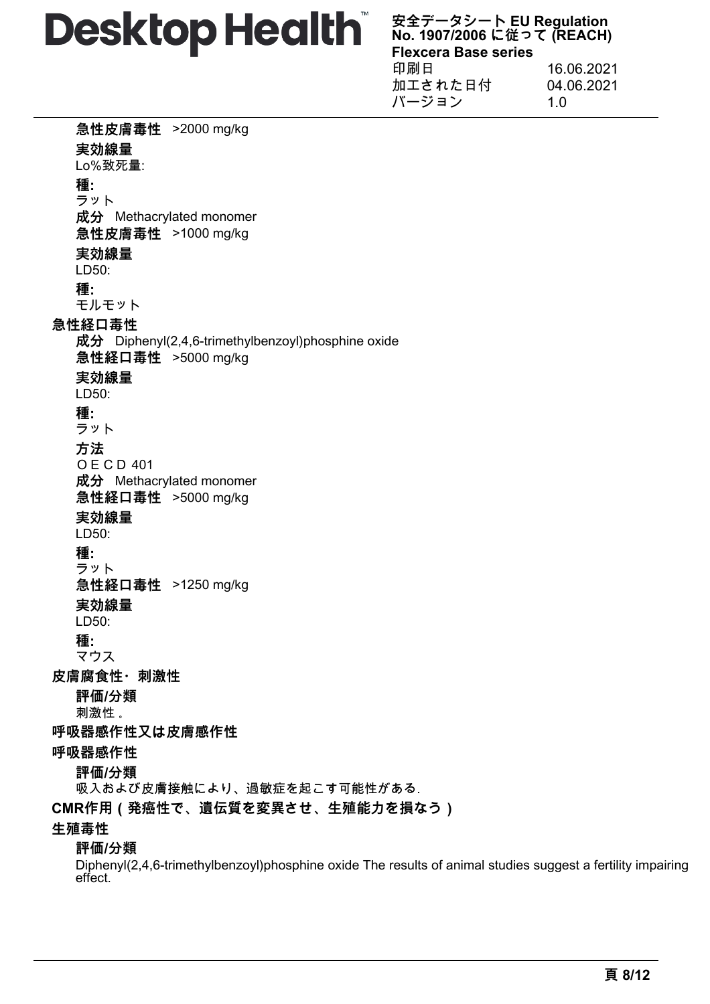**安全データシート EU Regulation No. 1907/2006 に従って (REACH) Flexcera Base series** 印刷日 16.06.2021 加工された日付 04.06.2021 バージョン 1.0

**急性皮膚毒性** >2000 mg/kg **実効線量** Lo%致死量: **種:** ラット **成分** Methacrylated monomer **急性皮膚毒性** >1000 mg/kg **実効線量** LD50: **種:** モルモット **急性経口毒性 成分** Diphenyl(2,4,6-trimethylbenzoyl)phosphine oxide **急性経口毒性** >5000 mg/kg **実効線量** LD50: **種:** ラット **方法** OECD 401 **成分** Methacrylated monomer **急性経口毒性** >5000 mg/kg **実効線量** LD50: **種:** ラット **急性経口毒性** >1250 mg/kg **実効線量** LD50: **種:** マウス **皮膚腐食性・刺激性 評価/分類** 刺激性 。 **呼吸器感作性又は皮膚感作性 呼吸器感作性 評価/分類** 吸入および皮膚接触により、過敏症を起こす可能性がある. **CMR作用(発癌性で、遺伝質を変異させ、生殖能力を損なう) 生殖毒性 評価/分類**

Diphenyl(2,4,6-trimethylbenzoyl)phosphine oxide The results of animal studies suggest a fertility impairing effect.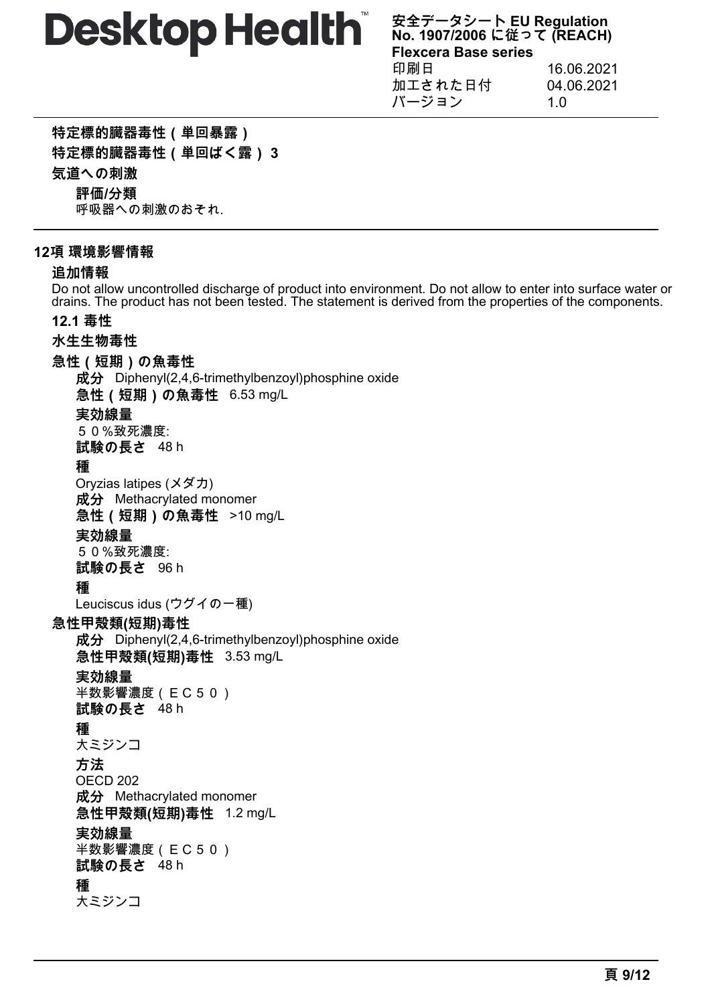**安全データシート EU Regulation No. 1907/2006 に従って (REACH) Flexcera Base series** 印刷日 16.06.2021 加工された日付 04.06.2021 バージョン 1.0

**特定標的臓器毒性(単回暴露)**

**特定標的臓器毒性(単回ばく露) 3**

**気道への刺激**

**評価/分類**

呼吸器への刺激のおそれ.

## **12項 環境影響情報**

## **追加情報**

Do not allow uncontrolled discharge of product into environment. Do not allow to enter into surface water or drains. The product has not been tested. The statement is derived from the properties of the components.

# **12.1 毒性**

# **水生生物毒性**

**急性(短期)の魚毒性**

**成分** Diphenyl(2,4,6-trimethylbenzoyl)phosphine oxide **急性(短期)の魚毒性** 6.53 mg/L **実効線量** 50%致死濃度: **試験の長さ** 48 h **種** Oryzias latipes (メダカ) **成分** Methacrylated monomer **急性(短期)の魚毒性** >10 mg/L **実効線量** 50%致死濃度: **試験の長さ** 96 h **種** Leuciscus idus (ウグイの一種) **急性甲殻類(短期)毒性 成分** Diphenyl(2,4,6-trimethylbenzoyl)phosphine oxide **急性甲殻類(短期)毒性** 3.53 mg/L **実効線量** 半数影響濃度(EC50) **試験の長さ** 48 h **種** 大ミジンコ **方法** OECD 202 **成分** Methacrylated monomer **急性甲殻類(短期)毒性** 1.2 mg/L **実効線量** 半数影響濃度(EC50) **試験の長さ** 48 h **種** 大ミジンコ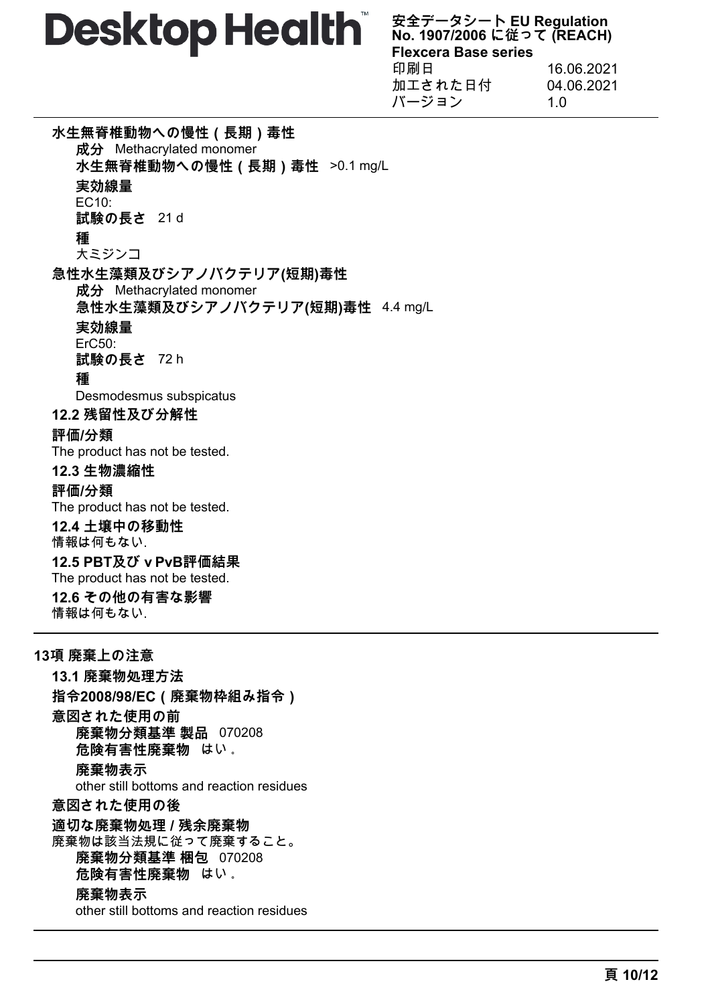**安全データシート EU Regulation No. 1907/2006 に従って (REACH) Flexcera Base series** 印刷日 16.06.2021 加工された日付 04.06.2021 バージョン 1.0

**水生無脊椎動物への慢性(長期)毒性 成分** Methacrylated monomer **水生無脊椎動物への慢性(長期)毒性** >0.1 mg/L **実効線量** EC10: **試験の長さ** 21 d **種** 大ミジンコ **急性水生藻類及びシアノバクテリア(短期)毒性 成分** Methacrylated monomer **急性水生藻類及びシアノバクテリア(短期)毒性** 4.4 mg/L **実効線量** ErC50: **試験の長さ** 72 h **種** Desmodesmus subspicatus **12.2 残留性及び分解性 評価/分類** The product has not be tested. **12.3 生物濃縮性 評価/分類** The product has not be tested. **12.4 土壌中の移動性** 情報は何もない. 12.5 PBT及び v PvB評価結果 The product has not be tested. **12.6 その他の有害な影響** 情報は何もない. **13項 廃棄上の注意 13.1 廃棄物処理方法**

**指令2008/98/EC(廃棄物枠組み指令) 意図された使用の前 廃棄物分類基準 製品** 070208 **危険有害性廃棄物** はい 。 **廃棄物表示** other still bottoms and reaction residues **意図された使用の後 適切な廃棄物処理 / 残余廃棄物** 廃棄物は該当法規に従って廃棄すること。 **廃棄物分類基準 梱包** 070208 **危険有害性廃棄物** はい 。 **廃棄物表示** other still bottoms and reaction residues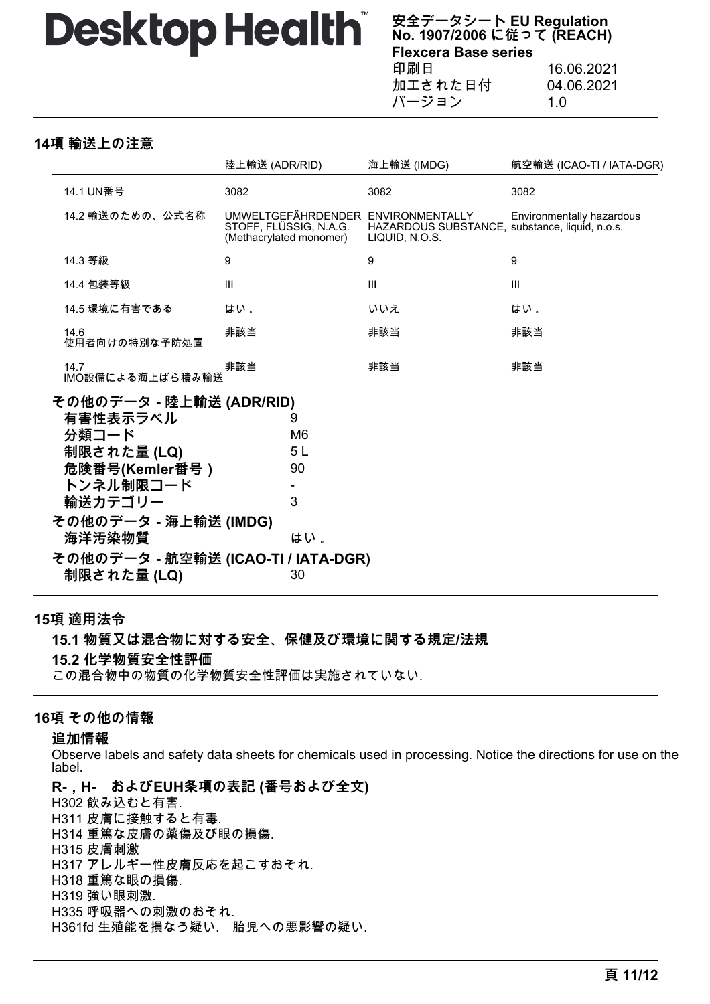**安全データシート EU Regulation No. 1907/2006 に従って (REACH) Flexcera Base series** 印刷日 16.06.2021 加工された日付 04.06.2021

バージョン 1.0

**14項 輸送上の注意**

|                                                                                                                                                                                                 | 陸上輸送 (ADR/RID) |                                                   | 海上輸送 (IMDG)                                                                                            | 航空輸送 (ICAO-TI / IATA-DGR) |
|-------------------------------------------------------------------------------------------------------------------------------------------------------------------------------------------------|----------------|---------------------------------------------------|--------------------------------------------------------------------------------------------------------|---------------------------|
| 14.1 UN番号                                                                                                                                                                                       | 3082           |                                                   | 3082                                                                                                   | 3082                      |
| 14.2 輸送のための、公式名称                                                                                                                                                                                |                | STOFF, FLÜSSIG, N.A.G.<br>(Methacrylated monomer) | UMWELTGEFÄHRDENDER ENVIRONMENTALLY<br>HAZARDOUS SUBSTANCE, substance, liquid, n.o.s.<br>LIQUID, N.O.S. | Environmentally hazardous |
| 14.3 等級                                                                                                                                                                                         | 9              |                                                   | 9                                                                                                      | 9                         |
| 14.4 包装等級                                                                                                                                                                                       | III            |                                                   | Ш                                                                                                      | III                       |
| 14.5 環境に有害である                                                                                                                                                                                   | はい。            |                                                   | いいえ                                                                                                    | はい。                       |
| 14.6<br>使用者向けの特別な予防処置                                                                                                                                                                           | 非該当            |                                                   | 非該当                                                                                                    | 非該当                       |
| 14.7<br>IMO設備による海上ばら積み輸送                                                                                                                                                                        | 非該当            |                                                   | 非該当                                                                                                    | 非該当                       |
| その他のデータ - 陸上輸送 (ADR/RID)<br>有害性表示ラベル<br>分類コード<br>制限された量 (LQ)<br>危険番号(Kemler番号)<br>トンネル制限コード<br>輸送カテゴリー<br>その他のデータ - 海上輸送 (IMDG)<br>海洋汚染物質<br>その他のデータ - 航空輸送 (ICAO-TI / IATA-DGR)<br>制限された量 (LQ) |                | 9<br>M6<br>5 L<br>90<br>3<br>はい。<br>30            |                                                                                                        |                           |

### **15項 適用法令**

**15.1 物質又は混合物に対する安全、保健及び環境に関する規定/法規 15.2 化学物質安全性評価**

この混合物中の物質の化学物質安全性評価は実施されていない.

# **16項 その他の情報**

#### **追加情報**

Observe labels and safety data sheets for chemicals used in processing. Notice the directions for use on the label.

**R-,H- およびEUH条項の表記 (番号および全文)** H302 飲み込むと有害. H311 皮膚に接触すると有毒. H314 重篤な皮膚の薬傷及び眼の損傷. H315 皮膚刺激 H317 アレルギー性皮膚反応を起こすおそれ. H318 重篤な眼の損傷. H319 強い眼刺激. H335 呼吸器への刺激のおそれ. H361fd 生殖能を損なう疑い. 胎児への悪影響の疑い.